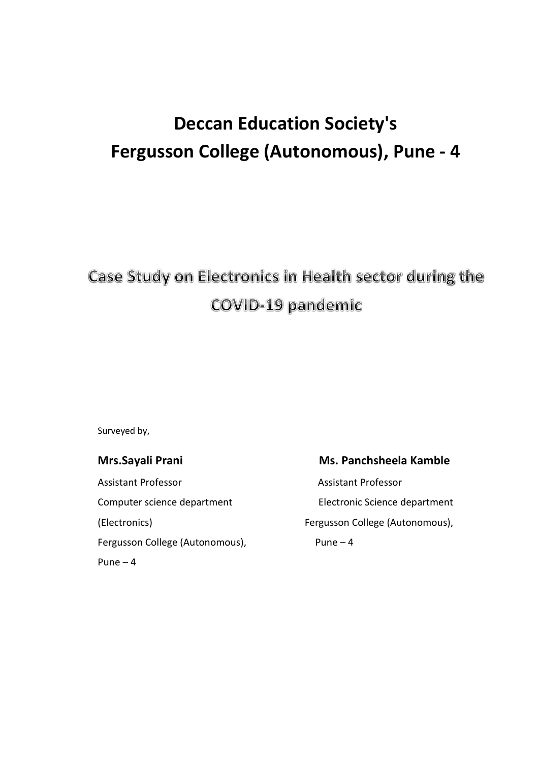# **Deccan Education Society's Fergusson College (Autonomous), Pune - 4**

## Case Study on Electronics in Health sector during the **COVID-19 pandemic**

Surveyed by,

Assistant Professor Assistant Professor (Electronics) Fergusson College (Autonomous), Fergusson College (Autonomous), Pune – 4 Pune – 4

### **Mrs.Sayali Prani** Ms. Panchsheela Kamble

Computer science department Electronic Science department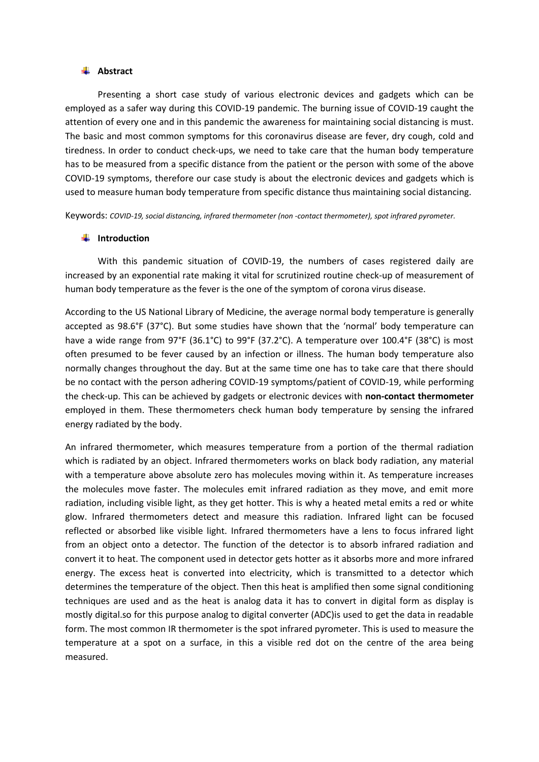#### **Abstract**

Presenting a short case study of various electronic devices and gadgets which can be employed as a safer way during this COVID-19 pandemic. The burning issue of COVID-19 caught the attention of every one and in this pandemic the awareness for maintaining social distancing is must. The basic and most common symptoms for this coronavirus disease are fever, dry cough, cold and tiredness. In order to conduct check-ups, we need to take care that the human body temperature has to be measured from a specific distance from the patient or the person with some of the above COVID-19 symptoms, therefore our case study is about the electronic devices and gadgets which is used to measure human body temperature from specific distance thus maintaining social distancing.

Keywords: *COVID-19, social distancing, infrared thermometer (non -contact thermometer), spot infrared pyrometer.*

#### **Introduction**

 With this pandemic situation of COVID-19, the numbers of cases registered daily are increased by an exponential rate making it vital for scrutinized routine check-up of measurement of human body temperature as the fever is the one of the symptom of corona virus disease.

According to the US National Library of Medicine, the average normal body temperature is generally accepted as 98.6°F (37°C). But some studies have shown that the 'normal' body temperature can have a wide range from 97°F (36.1°C) to 99°F (37.2°C). A temperature over 100.4°F (38°C) is most often presumed to be fever caused by an infection or illness. The human body temperature also normally changes throughout the day. But at the same time one has to take care that there should be no contact with the person adhering COVID-19 symptoms/patient of COVID-19, while performing the check-up. This can be achieved by gadgets or electronic devices with **non-contact thermometer** employed in them. These thermometers check human body temperature by sensing the infrared energy radiated by the body.

An infrared thermometer, which measures temperature from a portion of the thermal radiation which is radiated by an object. Infrared thermometers works on black body radiation, any material with a temperature above absolute zero has molecules moving within it. As temperature increases the molecules move faster. The molecules emit infrared radiation as they move, and emit more radiation, including visible light, as they get hotter. This is why a heated metal emits a red or white glow. Infrared thermometers detect and measure this radiation. Infrared light can be focused reflected or absorbed like visible light. Infrared thermometers have a lens to focus infrared light from an object onto a detector. The function of the detector is to absorb infrared radiation and convert it to heat. The component used in detector gets hotter as it absorbs more and more infrared energy. The excess heat is converted into electricity, which is transmitted to a detector which determines the temperature of the object. Then this heat is amplified then some signal conditioning techniques are used and as the heat is analog data it has to convert in digital form as display is mostly digital.so for this purpose analog to digital converter (ADC)is used to get the data in readable form. The most common IR thermometer is the spot infrared pyrometer. This is used to measure the temperature at a spot on a surface, in this a visible red dot on the centre of the area being measured.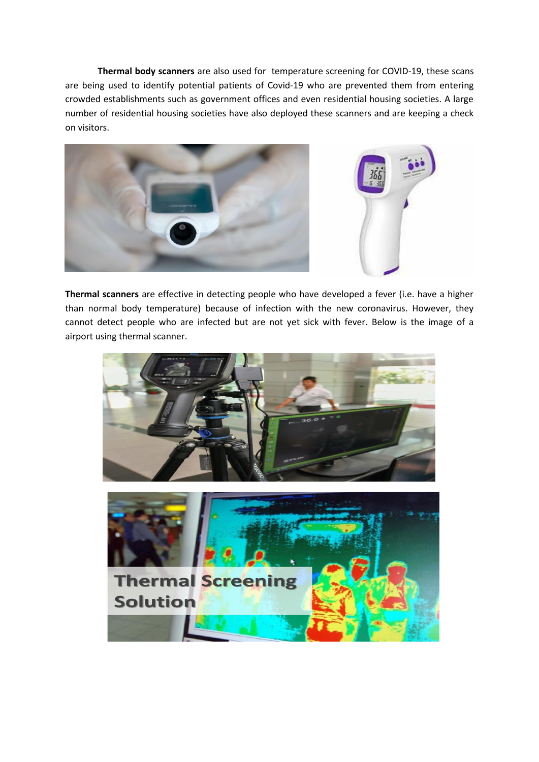**Thermal body scanners** are also used for temperature screening for COVID-19, these scans are being used to identify potential patients of Covid-19 who are prevented them from entering crowded establishments such as government offices and even residential housing societies. A large number of residential housing societies have also deployed these scanners and are keeping a check on visitors.



**Thermal scanners** are effective in detecting people who have developed a fever (i.e. have a higher than normal body temperature) because of infection with the new coronavirus. However, they cannot detect people who are infected but are not yet sick with fever. Below is the image of a airport using thermal scanner.

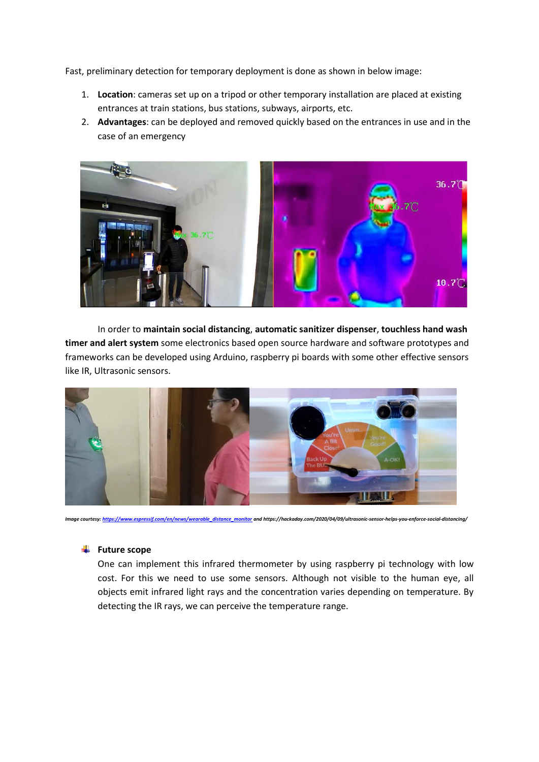Fast, preliminary detection for temporary deployment is done as shown in below image:

- 1. **Location**: cameras set up on a tripod or other temporary installation are placed at existing entrances at train stations, bus stations, subways, airports, etc.
- 2. **Advantages**: can be deployed and removed quickly based on the entrances in use and in the case of an emergency



In order to **maintain social distancing**, **automatic sanitizer dispenser**, **touchless hand wash timer and alert system** some electronics based open source hardware and software prototypes and frameworks can be developed using Arduino, raspberry pi boards with some other effective sensors like IR, Ultrasonic sensors.



*Image courtesy[: https://www.espressif.com/en/news/wearable\\_distance\\_monitor](https://www.espressif.com/en/news/wearable_distance_monitor) and https://hackaday.com/2020/04/09/ultrasonic-sensor-helps-you-enforce-social-distancing/*

### **E** Future scope

One can implement this infrared thermometer by using raspberry pi technology with low cost. For this we need to use some sensors. Although not visible to the human eye, all objects emit infrared light rays and the concentration varies depending on temperature. By detecting the IR rays, we can perceive the temperature range.